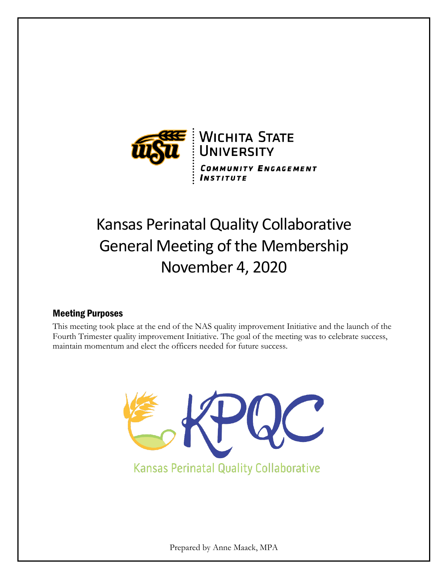

# Kansas Perinatal Quality Collaborative General Meeting of the Membership November 4, 2020

# Meeting Purposes

This meeting took place at the end of the NAS quality improvement Initiative and the launch of the Fourth Trimester quality improvement Initiative. The goal of the meeting was to celebrate success, maintain momentum and elect the officers needed for future success.



**Kansas Perinatal Quality Collaborative** 

Prepared by Anne Maack, MPA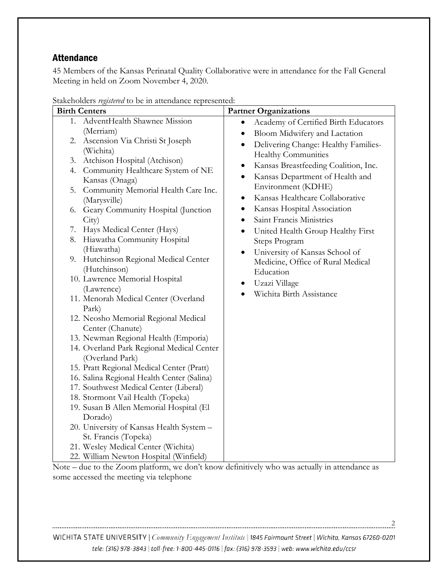# Attendance

45 Members of the Kansas Perinatal Quality Collaborative were in attendance for the Fall General Meeting in held on Zoom November 4, 2020.

| <b>Birth Centers</b>                                | <b>Partner Organizations</b>                      |
|-----------------------------------------------------|---------------------------------------------------|
| 1. AdventHealth Shawnee Mission                     | Academy of Certified Birth Educators<br>$\bullet$ |
| (Merriam)                                           | Bloom Midwifery and Lactation<br>٠                |
| 2. Ascension Via Christi St Joseph                  | Delivering Change: Healthy Families-<br>$\bullet$ |
| (Wichita)                                           | <b>Healthy Communities</b>                        |
| Atchison Hospital (Atchison)<br>3.                  | Kansas Breastfeeding Coalition, Inc.<br>$\bullet$ |
| 4. Community Healthcare System of NE                | Kansas Department of Health and<br>$\bullet$      |
| Kansas (Onaga)                                      | Environment (KDHE)                                |
| 5. Community Memorial Health Care Inc.              | Kansas Healthcare Collaborative                   |
| (Marysville)                                        | $\bullet$                                         |
| 6. Geary Community Hospital (Junction               | Kansas Hospital Association<br>$\bullet$          |
| City)                                               | Saint Francis Ministries<br>$\bullet$             |
| Hays Medical Center (Hays)<br>7.                    | United Health Group Healthy First<br>$\bullet$    |
| 8. Hiawatha Community Hospital                      | Steps Program                                     |
| (Hiawatha)<br>9. Hutchinson Regional Medical Center | University of Kansas School of<br>$\bullet$       |
| (Hutchinson)                                        | Medicine, Office of Rural Medical                 |
| 10. Lawrence Memorial Hospital                      | Education                                         |
| (Lawrence)                                          | Uzazi Village<br>٠                                |
| 11. Menorah Medical Center (Overland                | Wichita Birth Assistance                          |
| Park)                                               |                                                   |
| 12. Neosho Memorial Regional Medical                |                                                   |
| Center (Chanute)                                    |                                                   |
| 13. Newman Regional Health (Emporia)                |                                                   |
| 14. Overland Park Regional Medical Center           |                                                   |
| (Overland Park)                                     |                                                   |
| 15. Pratt Regional Medical Center (Pratt)           |                                                   |
| 16. Salina Regional Health Center (Salina)          |                                                   |
| 17. Southwest Medical Center (Liberal)              |                                                   |
| 18. Stormont Vail Health (Topeka)                   |                                                   |
| 19. Susan B Allen Memorial Hospital (El             |                                                   |
| Dorado)                                             |                                                   |
| 20. University of Kansas Health System -            |                                                   |
| St. Francis (Topeka)                                |                                                   |
| 21. Wesley Medical Center (Wichita)                 |                                                   |
| 22. William Newton Hospital (Winfield)              |                                                   |

Stakeholders *registered* to be in attendance represented:

Note – due to the Zoom platform, we don't know definitively who was actually in attendance as some accessed the meeting via telephone

WICHITA STATE UNIVERSITY | Community Engagement Institute | 1845 Fairmount Street | Wichita, Kansas 67260-0201 tele: (316) 978-3843 | toll-free: 1-800-445-0116 | fax: (316) 978-3593 | web: www.wichita.edu/ccsr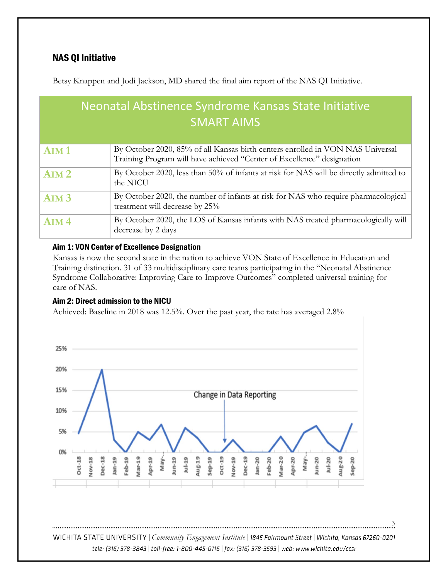Betsy Knappen and Jodi Jackson, MD shared the final aim report of the NAS QI Initiative.

| Neonatal Abstinence Syndrome Kansas State Initiative<br><b>SMART AIMS</b> |                                                                                                                                                          |  |  |  |
|---------------------------------------------------------------------------|----------------------------------------------------------------------------------------------------------------------------------------------------------|--|--|--|
| AlM <sub>1</sub>                                                          | By October 2020, 85% of all Kansas birth centers enrolled in VON NAS Universal<br>Training Program will have achieved "Center of Excellence" designation |  |  |  |
| AlM <sub>2</sub>                                                          | By October 2020, less than 50% of infants at risk for NAS will be directly admitted to<br>the NICU                                                       |  |  |  |
| AlM <sub>3</sub>                                                          | By October 2020, the number of infants at risk for NAS who require pharmacological<br>treatment will decrease by 25%                                     |  |  |  |
| AlM <sub>4</sub>                                                          | By October 2020, the LOS of Kansas infants with NAS treated pharmacologically will<br>decrease by 2 days                                                 |  |  |  |

#### Aim 1: VON Center of Excellence Designation

Kansas is now the second state in the nation to achieve VON State of Excellence in Education and Training distinction. 31 of 33 multidisciplinary care teams participating in the "Neonatal Abstinence Syndrome Collaborative: Improving Care to Improve Outcomes" completed universal training for care of NAS.

#### Aim 2: Direct admission to the NICU

Achieved: Baseline in 2018 was 12.5%. Over the past year, the rate has averaged 2.8%



WICHITA STATE UNIVERSITY | Community Engagement Institute | 1845 Fairmount Street | Wichita, Kansas 67260-0201 tele: (316) 978-3843 | toll-free: 1-800-445-0116 | fax: (316) 978-3593 | web: www.wichita.edu/ccsr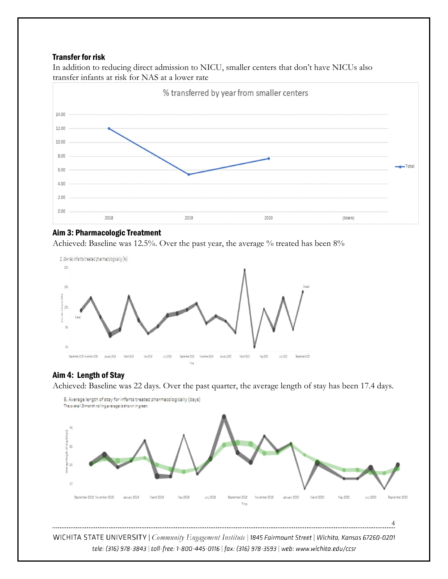#### Transfer for risk

In addition to reducing direct admission to NICU, smaller centers that don't have NICUs also transfer infants at risk for NAS at a lower rate



#### Aim 3: Pharmacologic Treatment

Achieved: Baseline was 12.5%. Over the past year, the average % treated has been 8%



#### Aim 4: Length of Stay

Achieved: Baseline was 22 days. Over the past quarter, the average length of stay has been 17.4 days.



4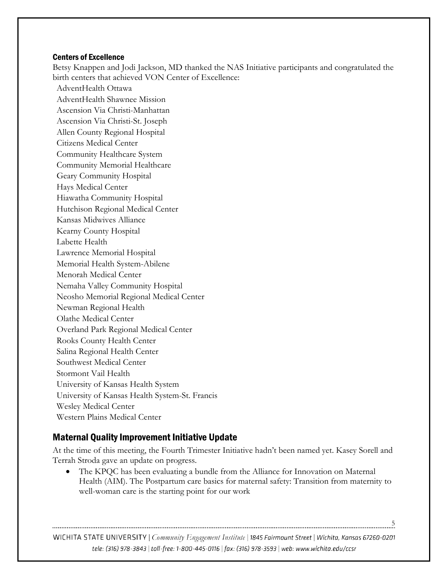#### Centers of Excellence

Betsy Knappen and Jodi Jackson, MD thanked the NAS Initiative participants and congratulated the birth centers that achieved VON Center of Excellence:

AdventHealth Ottawa AdventHealth Shawnee Mission Ascension Via Christi-Manhattan Ascension Via Christi-St. Joseph Allen County Regional Hospital Citizens Medical Center Community Healthcare System Community Memorial Healthcare Geary Community Hospital Hays Medical Center Hiawatha Community Hospital Hutchison Regional Medical Center Kansas Midwives Alliance Kearny County Hospital Labette Health Lawrence Memorial Hospital Memorial Health System-Abilene Menorah Medical Center Nemaha Valley Community Hospital Neosho Memorial Regional Medical Center Newman Regional Health Olathe Medical Center Overland Park Regional Medical Center Rooks County Health Center Salina Regional Health Center Southwest Medical Center Stormont Vail Health University of Kansas Health System University of Kansas Health System-St. Francis Wesley Medical Center Western Plains Medical Center

# Maternal Quality Improvement Initiative Update

At the time of this meeting, the Fourth Trimester Initiative hadn't been named yet. Kasey Sorell and Terrah Stroda gave an update on progress.

The KPQC has been evaluating a bundle from the Alliance for Innovation on Maternal Health (AIM). The Postpartum care basics for maternal safety: Transition from maternity to well-woman care is the starting point for our work

WICHITA STATE UNIVERSITY | Community Engagement Institute | 1845 Fairmount Street | Wichita, Kansas 67260-0201 tele: (316) 978-3843 | toll-free: 1-800-445-0116 | fax: (316) 978-3593 | web: www.wichita.edu/ccsr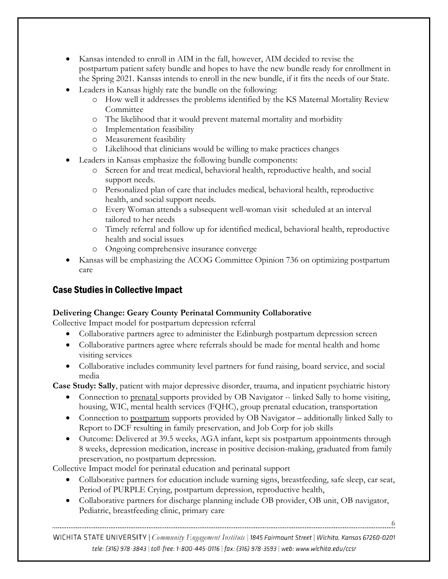- Kansas intended to enroll in AIM in the fall, however, AIM decided to revise the postpartum patient safety bundle and hopes to have the new bundle ready for enrollment in the Spring 2021. Kansas intends to enroll in the new bundle, if it fits the needs of our State.
- Leaders in Kansas highly rate the bundle on the following:
	- o How well it addresses the problems identified by the KS Maternal Mortality Review **Committee**
	- o The likelihood that it would prevent maternal mortality and morbidity
	- o Implementation feasibility
	- o Measurement feasibility
	- o Likelihood that clinicians would be willing to make practices changes
- Leaders in Kansas emphasize the following bundle components:
	- o Screen for and treat medical, behavioral health, reproductive health, and social support needs.
	- o Personalized plan of care that includes medical, behavioral health, reproductive health, and social support needs.
	- o Every Woman attends a subsequent well-woman visit scheduled at an interval tailored to her needs
	- o Timely referral and follow up for identified medical, behavioral health, reproductive health and social issues
	- o Ongoing comprehensive insurance converge
- Kansas will be emphasizing the ACOG Committee Opinion 736 on optimizing postpartum care

# Case Studies in Collective Impact

# **Delivering Change: Geary County Perinatal Community Collaborative**

Collective Impact model for postpartum depression referral

- Collaborative partners agree to administer the Edinburgh postpartum depression screen
- Collaborative partners agree where referrals should be made for mental health and home visiting services
- Collaborative includes community level partners for fund raising, board service, and social media

**Case Study: Sally**, patient with major depressive disorder, trauma, and inpatient psychiatric history

- Connection to prenatal supports provided by OB Navigator -- linked Sally to home visiting, housing, WIC, mental health services (FQHC), group prenatal education, transportation
- Connection to postpartum supports provided by OB Navigator additionally linked Sally to Report to DCF resulting in family preservation, and Job Corp for job skills
- Outcome: Delivered at 39.5 weeks, AGA infant, kept six postpartum appointments through 8 weeks, depression medication, increase in positive decision-making, graduated from family preservation, no postpartum depression.

Collective Impact model for perinatal education and perinatal support

- Collaborative partners for education include warning signs, breastfeeding, safe sleep, car seat, Period of PURPLE Crying, postpartum depression, reproductive health,
- Collaborative partners for discharge planning include OB provider, OB unit, OB navigator, Pediatric, breastfeeding clinic, primary care

6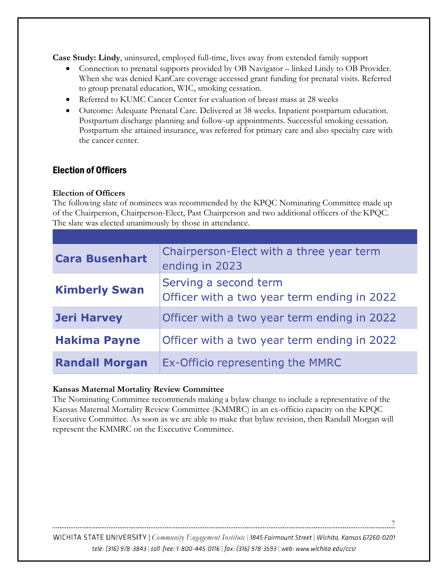**Case Study: Lindy**, uninsured, employed full-time, lives away from extended family support

- Connection to prenatal supports provided by OB Navigator linked Lindy to OB Provider. When she was denied KanCare coverage accessed grant funding for prenatal visits. Referred to group prenatal education, WIC, smoking cessation.
- Referred to KUMC Cancer Center for evaluation of breast mass at 28 weeks
- Outcome: Adequate Prenatal Care. Delivered at 38 weeks. Inpatient postpartum education. Postpartum discharge planning and follow-up appointments. Successful smoking cessation. Postpartum she attained insurance, was referred for primary care and also specialty care with the cancer center.

# Election of Officers

#### **Election of Officers**

The following slate of nominees was recommended by the KPQC Nominating Committee made up of the Chairperson, Chairperson-Elect, Past Chairperson and two additional officers of the KPQC. The slate was elected unanimously by those in attendance.

| <b>Cara Busenhart</b> | Chairperson-Elect with a three year term<br>ending in 2023           |
|-----------------------|----------------------------------------------------------------------|
| <b>Kimberly Swan</b>  | Serving a second term<br>Officer with a two year term ending in 2022 |
| <b>Jeri Harvey</b>    | Officer with a two year term ending in 2022                          |
| <b>Hakima Payne</b>   | Officer with a two year term ending in 2022                          |
| <b>Randall Morgan</b> | Ex-Officio representing the MMRC                                     |

#### **Kansas Maternal Mortality Review Committee**

The Nominating Committee recommends making a bylaw change to include a representative of the Kansas Maternal Mortality Review Committee (KMMRC) in an ex-officio capacity on the KPQC Executive Committee. As soon as we are able to make that bylaw revision, then Randall Morgan will represent the KMMRC on the Executive Committee.

WICHITA STATE UNIVERSITY | Community Engagement Institute | 1845 Fairmount Street | Wichita, Kansas 67260-0201 tele: (316) 978-3843 | toll-free: 1-800-445-0116 | fax: (316) 978-3593 | web: www.wichita.edu/ccsr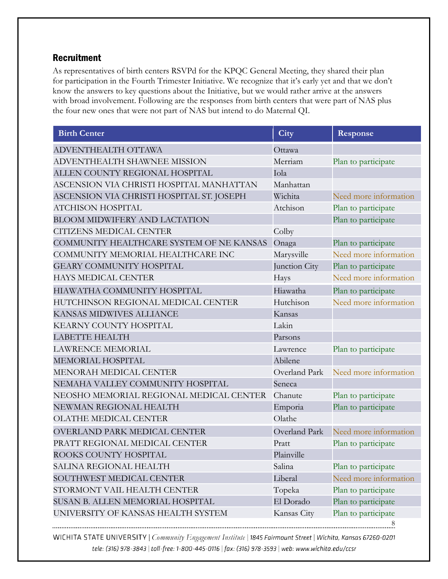# Recruitment

As representatives of birth centers RSVPd for the KPQC General Meeting, they shared their plan<br>for participation in the Famed AT for participation in the Fourth Trimester Initiative. We recognize that it's early yet and that we don't know the answers to key questions about the Initiative, but we would rather arrive at the answers with broad involvement. Following are the responses from birth centers that were part of NAS plus the four new ones that were not part of NAS but intend to do Maternal QI.

| <b>Birth Center</b>                       | City          | Response              |
|-------------------------------------------|---------------|-----------------------|
| ADVENTHEALTH OTTAWA                       | Ottawa        |                       |
| ADVENTHEALTH SHAWNEE MISSION              | Merriam       | Plan to participate   |
| ALLEN COUNTY REGIONAL HOSPITAL            | Iola          |                       |
| ASCENSION VIA CHRISTI HOSPITAL MANHATTAN  | Manhattan     |                       |
| ASCENSION VIA CHRISTI HOSPITAL ST. JOSEPH | Wichita       | Need more information |
| <b>ATCHISON HOSPITAL</b>                  | Atchison      | Plan to participate   |
| <b>BLOOM MIDWIFERY AND LACTATION</b>      |               | Plan to participate   |
| CITIZENS MEDICAL CENTER                   | Colby         |                       |
| COMMUNITY HEALTHCARE SYSTEM OF NE KANSAS  | Onaga         | Plan to participate   |
| COMMUNITY MEMORIAL HEALTHCARE INC         | Marysville    | Need more information |
| <b>GEARY COMMUNITY HOSPITAL</b>           | Junction City | Plan to participate   |
| <b>HAYS MEDICAL CENTER</b>                | Hays          | Need more information |
| HIAWATHA COMMUNITY HOSPITAL               | Hiawatha      | Plan to participate   |
| HUTCHINSON REGIONAL MEDICAL CENTER        | Hutchison     | Need more information |
| KANSAS MIDWIVES ALLIANCE                  | Kansas        |                       |
| KEARNY COUNTY HOSPITAL                    | Lakin         |                       |
| LABETTE HEALTH                            | Parsons       |                       |
| <b>LAWRENCE MEMORIAL</b>                  | Lawrence      | Plan to participate   |
| MEMORIAL HOSPITAL                         | Abilene       |                       |
| MENORAH MEDICAL CENTER                    | Overland Park | Need more information |
| NEMAHA VALLEY COMMUNITY HOSPITAL          | Seneca        |                       |
| NEOSHO MEMORIAL REGIONAL MEDICAL CENTER   | Chanute       | Plan to participate   |
| NEWMAN REGIONAL HEALTH                    | Emporia       | Plan to participate   |
| OLATHE MEDICAL CENTER                     | Olathe        |                       |
| <b>OVERLAND PARK MEDICAL CENTER</b>       | Overland Park | Need more information |
| PRATT REGIONAL MEDICAL CENTER             | Pratt         | Plan to participate   |
| ROOKS COUNTY HOSPITAL                     | Plainville    |                       |
| SALINA REGIONAL HEALTH                    | Salina        | Plan to participate   |
| SOUTHWEST MEDICAL CENTER                  | Liberal       | Need more information |
| STORMONT VAIL HEALTH CENTER               | Topeka        | Plan to participate   |
| SUSAN B. ALLEN MEMORIAL HOSPITAL          | El Dorado     | Plan to participate   |
| UNIVERSITY OF KANSAS HEALTH SYSTEM        | Kansas City   | Plan to participate   |
|                                           |               | 8                     |